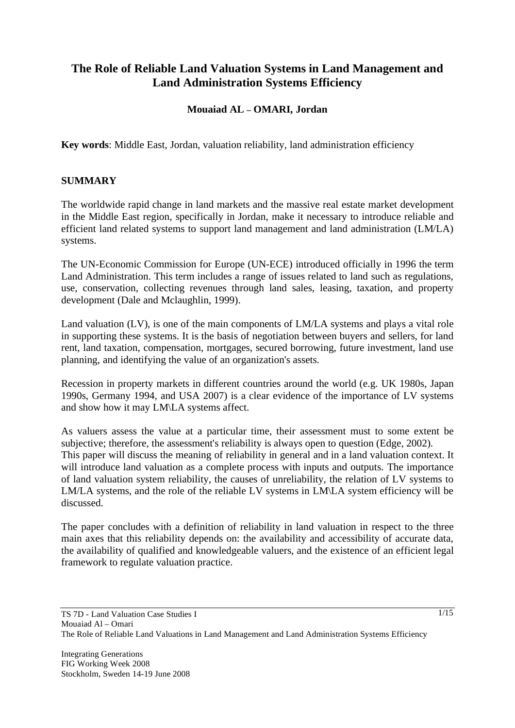# **The Role of Reliable Land Valuation Systems in Land Management and Land Administration Systems Efficiency**

### **Mouaiad AL – OMARI, Jordan**

**Key words**: Middle East, Jordan, valuation reliability, land administration efficiency

#### **SUMMARY**

The worldwide rapid change in land markets and the massive real estate market development in the Middle East region, specifically in Jordan, make it necessary to introduce reliable and efficient land related systems to support land management and land administration (LM/LA) systems.

The UN-Economic Commission for Europe (UN-ECE) introduced officially in 1996 the term Land Administration. This term includes a range of issues related to land such as regulations, use, conservation, collecting revenues through land sales, leasing, taxation, and property development (Dale and Mclaughlin, 1999).

Land valuation (LV), is one of the main components of LM/LA systems and plays a vital role in supporting these systems. It is the basis of negotiation between buyers and sellers, for land rent, land taxation, compensation, mortgages, secured borrowing, future investment, land use planning, and identifying the value of an organization's assets.

Recession in property markets in different countries around the world (e.g. UK 1980s, Japan 1990s, Germany 1994, and USA 2007) is a clear evidence of the importance of LV systems and show how it may LM\LA systems affect.

As valuers assess the value at a particular time, their assessment must to some extent be subjective; therefore, the assessment's reliability is always open to question (Edge, 2002). This paper will discuss the meaning of reliability in general and in a land valuation context. It will introduce land valuation as a complete process with inputs and outputs. The importance of land valuation system reliability, the causes of unreliability, the relation of LV systems to LM/LA systems, and the role of the reliable LV systems in LM\LA system efficiency will be discussed.

The paper concludes with a definition of reliability in land valuation in respect to the three main axes that this reliability depends on: the availability and accessibility of accurate data, the availability of qualified and knowledgeable valuers, and the existence of an efficient legal framework to regulate valuation practice.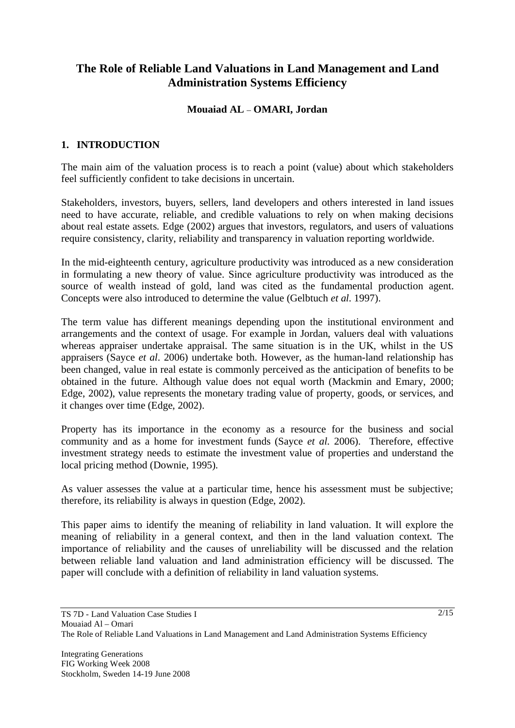# **The Role of Reliable Land Valuations in Land Management and Land Administration Systems Efficiency**

### **Mouaiad AL** – **OMARI, Jordan**

### **1. INTRODUCTION**

The main aim of the valuation process is to reach a point (value) about which stakeholders feel sufficiently confident to take decisions in uncertain.

Stakeholders, investors, buyers, sellers, land developers and others interested in land issues need to have accurate, reliable, and credible valuations to rely on when making decisions about real estate assets. Edge (2002) argues that investors, regulators, and users of valuations require consistency, clarity, reliability and transparency in valuation reporting worldwide.

In the mid-eighteenth century, agriculture productivity was introduced as a new consideration in formulating a new theory of value. Since agriculture productivity was introduced as the source of wealth instead of gold, land was cited as the fundamental production agent. Concepts were also introduced to determine the value (Gelbtuch *et al*. 1997).

The term value has different meanings depending upon the institutional environment and arrangements and the context of usage. For example in Jordan, valuers deal with valuations whereas appraiser undertake appraisal. The same situation is in the UK, whilst in the US appraisers (Sayce *et al*. 2006) undertake both. However, as the human-land relationship has been changed, value in real estate is commonly perceived as the anticipation of benefits to be obtained in the future. Although value does not equal worth (Mackmin and Emary, 2000; Edge, 2002), value represents the monetary trading value of property, goods, or services, and it changes over time (Edge, 2002).

Property has its importance in the economy as a resource for the business and social community and as a home for investment funds (Sayce *et al*. 2006). Therefore, effective investment strategy needs to estimate the investment value of properties and understand the local pricing method (Downie, 1995).

As valuer assesses the value at a particular time, hence his assessment must be subjective; therefore, its reliability is always in question (Edge, 2002).

This paper aims to identify the meaning of reliability in land valuation. It will explore the meaning of reliability in a general context, and then in the land valuation context. The importance of reliability and the causes of unreliability will be discussed and the relation between reliable land valuation and land administration efficiency will be discussed. The paper will conclude with a definition of reliability in land valuation systems.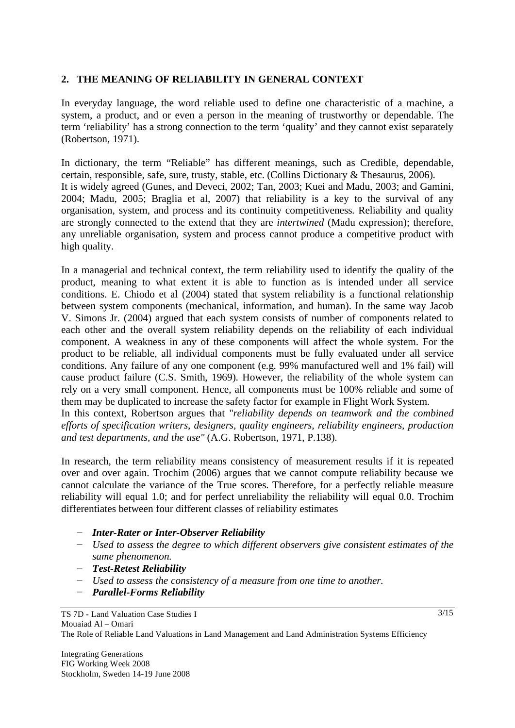#### **2. THE MEANING OF RELIABILITY IN GENERAL CONTEXT**

In everyday language, the word reliable used to define one characteristic of a machine, a system, a product, and or even a person in the meaning of trustworthy or dependable. The term 'reliability' has a strong connection to the term 'quality' and they cannot exist separately (Robertson, 1971).

In dictionary, the term "Reliable" has different meanings, such as Credible, dependable, certain, responsible, safe, sure, trusty, stable, etc. (Collins Dictionary & Thesaurus, 2006). It is widely agreed (Gunes, and Deveci, 2002; Tan, 2003; Kuei and Madu, 2003; and Gamini, 2004; Madu, 2005; Braglia et al, 2007) that reliability is a key to the survival of any organisation, system, and process and its continuity competitiveness. Reliability and quality are strongly connected to the extend that they are *intertwined* (Madu expression); therefore, any unreliable organisation, system and process cannot produce a competitive product with high quality.

In a managerial and technical context, the term reliability used to identify the quality of the product, meaning to what extent it is able to function as is intended under all service conditions. E. Chiodo et al (2004) stated that system reliability is a functional relationship between system components (mechanical, information, and human). In the same way Jacob V. Simons Jr. (2004) argued that each system consists of number of components related to each other and the overall system reliability depends on the reliability of each individual component. A weakness in any of these components will affect the whole system. For the product to be reliable, all individual components must be fully evaluated under all service conditions. Any failure of any one component (e.g. 99% manufactured well and 1% fail) will cause product failure (C.S. Smith, 1969). However, the reliability of the whole system can rely on a very small component. Hence, all components must be 100% reliable and some of them may be duplicated to increase the safety factor for example in Flight Work System. In this context, Robertson argues that "*reliability depends on teamwork and the combined* 

*efforts of specification writers, designers, quality engineers, reliability engineers, production and test departments, and the use"* (A.G. Robertson, 1971, P.138).

In research, the term reliability means consistency of measurement results if it is repeated over and over again. Trochim (2006) argues that we cannot compute reliability because we cannot calculate the variance of the True scores. Therefore, for a perfectly reliable measure reliability will equal 1.0; and for perfect unreliability the reliability will equal 0.0. Trochim differentiates between four different classes of reliability estimates

- *Inter-Rater or Inter-Observer Reliability*
- *Used to assess the degree to which different observers give consistent estimates of the same phenomenon.*
- *Test-Retest Reliability*
- *Used to assess the consistency of a measure from one time to another.*
- *Parallel-Forms Reliability*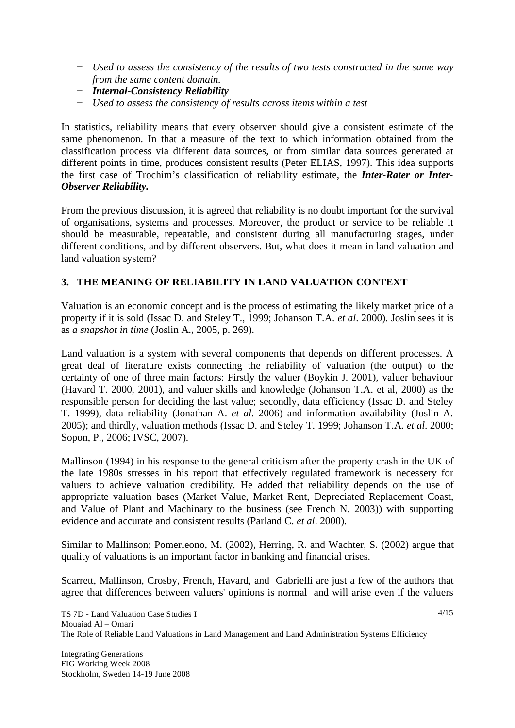- *Used to assess the consistency of the results of two tests constructed in the same way from the same content domain.*
- *Internal-Consistency Reliability*
- *Used to assess the consistency of results across items within a test*

In statistics, reliability means that every observer should give a consistent estimate of the same phenomenon. In that a measure of the text to which information obtained from the classification process via different data sources, or from similar data sources generated at different points in time, produces consistent results (Peter ELIAS, 1997). This idea supports the first case of Trochim's classification of reliability estimate, the *Inter-Rater or Inter-Observer Reliability.* 

From the previous discussion, it is agreed that reliability is no doubt important for the survival of organisations, systems and processes. Moreover, the product or service to be reliable it should be measurable, repeatable, and consistent during all manufacturing stages, under different conditions, and by different observers. But, what does it mean in land valuation and land valuation system?

### **3. THE MEANING OF RELIABILITY IN LAND VALUATION CONTEXT**

Valuation is an economic concept and is the process of estimating the likely market price of a property if it is sold (Issac D. and Steley T., 1999; Johanson T.A. *et al*. 2000). Joslin sees it is as *a snapshot in time* (Joslin A., 2005, p. 269).

Land valuation is a system with several components that depends on different processes. A great deal of literature exists connecting the reliability of valuation (the output) to the certainty of one of three main factors: Firstly the valuer (Boykin J. 2001), valuer behaviour (Havard T. 2000, 2001), and valuer skills and knowledge (Johanson T.A. et al, 2000) as the responsible person for deciding the last value; secondly, data efficiency (Issac D. and Steley T. 1999), data reliability (Jonathan A. *et al*. 2006) and information availability (Joslin A. 2005); and thirdly, valuation methods (Issac D. and Steley T. 1999; Johanson T.A. *et al*. 2000; Sopon, P., 2006; IVSC, 2007).

Mallinson (1994) in his response to the general criticism after the property crash in the UK of the late 1980s stresses in his report that effectively regulated framework is necessery for valuers to achieve valuation credibility. He added that reliability depends on the use of appropriate valuation bases (Market Value, Market Rent, Depreciated Replacement Coast, and Value of Plant and Machinary to the business (see French N. 2003)) with supporting evidence and accurate and consistent results (Parland C. *et al*. 2000).

Similar to Mallinson; Pomerleono, M. (2002), Herring, R. and Wachter, S. (2002) argue that quality of valuations is an important factor in banking and financial crises.

Scarrett, Mallinson, Crosby, French, Havard, and Gabrielli are just a few of the authors that agree that differences between valuers' opinions is normal and will arise even if the valuers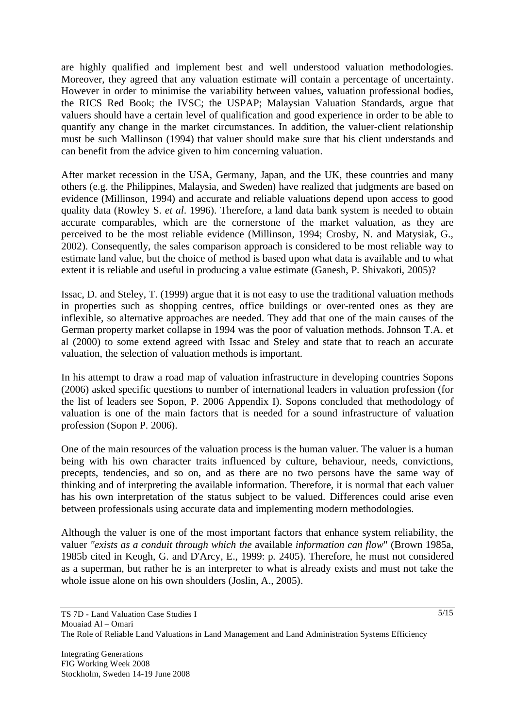are highly qualified and implement best and well understood valuation methodologies. Moreover, they agreed that any valuation estimate will contain a percentage of uncertainty. However in order to minimise the variability between values, valuation professional bodies, the RICS Red Book; the IVSC; the USPAP; Malaysian Valuation Standards, argue that valuers should have a certain level of qualification and good experience in order to be able to quantify any change in the market circumstances. In addition, the valuer-client relationship must be such Mallinson (1994) that valuer should make sure that his client understands and can benefit from the advice given to him concerning valuation.

After market recession in the USA, Germany, Japan, and the UK, these countries and many others (e.g. the Philippines, Malaysia, and Sweden) have realized that judgments are based on evidence (Millinson, 1994) and accurate and reliable valuations depend upon access to good quality data (Rowley S. *et al*. 1996). Therefore, a land data bank system is needed to obtain accurate comparables, which are the cornerstone of the market valuation, as they are perceived to be the most reliable evidence (Millinson, 1994; Crosby, N. and Matysiak, G., 2002). Consequently, the sales comparison approach is considered to be most reliable way to estimate land value, but the choice of method is based upon what data is available and to what extent it is reliable and useful in producing a value estimate (Ganesh, P. Shivakoti, 2005)?

Issac, D. and Steley, T. (1999) argue that it is not easy to use the traditional valuation methods in properties such as shopping centres, office buildings or over-rented ones as they are inflexible, so alternative approaches are needed. They add that one of the main causes of the German property market collapse in 1994 was the poor of valuation methods. Johnson T.A. et al (2000) to some extend agreed with Issac and Steley and state that to reach an accurate valuation, the selection of valuation methods is important.

In his attempt to draw a road map of valuation infrastructure in developing countries Sopons (2006) asked specific questions to number of international leaders in valuation profession (for the list of leaders see Sopon, P. 2006 Appendix I). Sopons concluded that methodology of valuation is one of the main factors that is needed for a sound infrastructure of valuation profession (Sopon P. 2006).

One of the main resources of the valuation process is the human valuer. The valuer is a human being with his own character traits influenced by culture, behaviour, needs, convictions, precepts, tendencies, and so on, and as there are no two persons have the same way of thinking and of interpreting the available information. Therefore, it is normal that each valuer has his own interpretation of the status subject to be valued. Differences could arise even between professionals using accurate data and implementing modern methodologies.

Although the valuer is one of the most important factors that enhance system reliability, the valuer *"exists as a conduit through which the* available *information can flow*" (Brown 1985a, 1985b cited in Keogh, G. and D'Arcy, E., 1999: p. 2405). Therefore, he must not considered as a superman, but rather he is an interpreter to what is already exists and must not take the whole issue alone on his own shoulders (Joslin, A., 2005).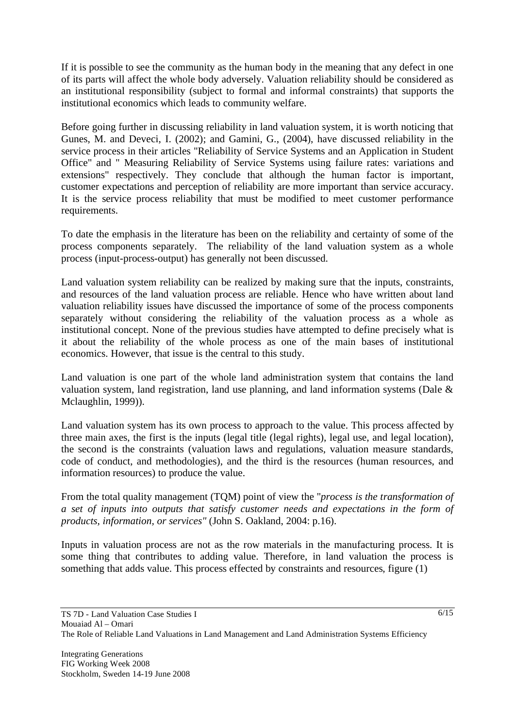If it is possible to see the community as the human body in the meaning that any defect in one of its parts will affect the whole body adversely. Valuation reliability should be considered as an institutional responsibility (subject to formal and informal constraints) that supports the institutional economics which leads to community welfare.

Before going further in discussing reliability in land valuation system, it is worth noticing that Gunes, M. and Deveci, I. (2002); and Gamini, G., (2004), have discussed reliability in the service process in their articles "Reliability of Service Systems and an Application in Student Office" and " Measuring Reliability of Service Systems using failure rates: variations and extensions" respectively. They conclude that although the human factor is important, customer expectations and perception of reliability are more important than service accuracy. It is the service process reliability that must be modified to meet customer performance requirements.

To date the emphasis in the literature has been on the reliability and certainty of some of the process components separately. The reliability of the land valuation system as a whole process (input-process-output) has generally not been discussed.

Land valuation system reliability can be realized by making sure that the inputs, constraints, and resources of the land valuation process are reliable. Hence who have written about land valuation reliability issues have discussed the importance of some of the process components separately without considering the reliability of the valuation process as a whole as institutional concept. None of the previous studies have attempted to define precisely what is it about the reliability of the whole process as one of the main bases of institutional economics. However, that issue is the central to this study.

Land valuation is one part of the whole land administration system that contains the land valuation system, land registration, land use planning, and land information systems (Dale & Mclaughlin, 1999)).

Land valuation system has its own process to approach to the value. This process affected by three main axes, the first is the inputs (legal title (legal rights), legal use, and legal location), the second is the constraints (valuation laws and regulations, valuation measure standards, code of conduct, and methodologies), and the third is the resources (human resources, and information resources) to produce the value.

From the total quality management (TQM) point of view the "*process is the transformation of a set of inputs into outputs that satisfy customer needs and expectations in the form of products, information, or services"* (John S. Oakland, 2004: p.16).

Inputs in valuation process are not as the row materials in the manufacturing process. It is some thing that contributes to adding value. Therefore, in land valuation the process is something that adds value. This process effected by constraints and resources, figure (1)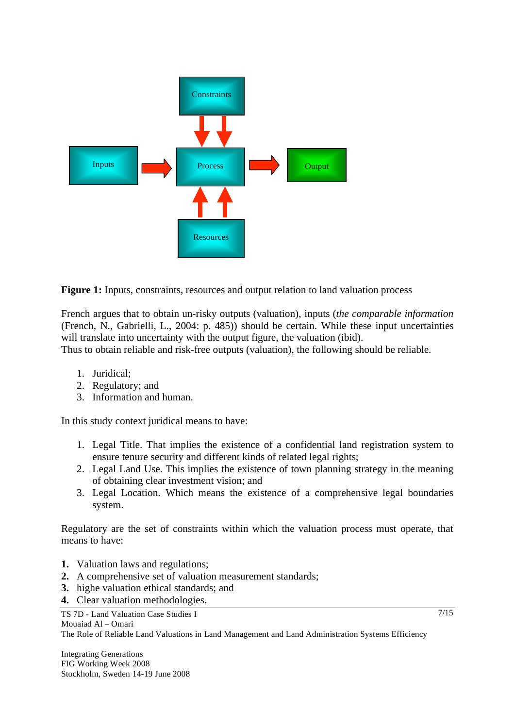

**Figure 1:** Inputs, constraints, resources and output relation to land valuation process

French argues that to obtain un-risky outputs (valuation), inputs (*the comparable information* (French, N., Gabrielli, L., 2004: p. 485)) should be certain. While these input uncertainties will translate into uncertainty with the output figure, the valuation (ibid).

Thus to obtain reliable and risk-free outputs (valuation), the following should be reliable.

- 1. Juridical;
- 2. Regulatory; and
- 3. Information and human.

In this study context juridical means to have:

- 1. Legal Title. That implies the existence of a confidential land registration system to ensure tenure security and different kinds of related legal rights;
- 2. Legal Land Use. This implies the existence of town planning strategy in the meaning of obtaining clear investment vision; and
- 3. Legal Location. Which means the existence of a comprehensive legal boundaries system.

Regulatory are the set of constraints within which the valuation process must operate, that means to have:

- **1.** Valuation laws and regulations;
- **2.** A comprehensive set of valuation measurement standards;
- **3.** highe valuation ethical standards; and
- **4.** Clear valuation methodologies.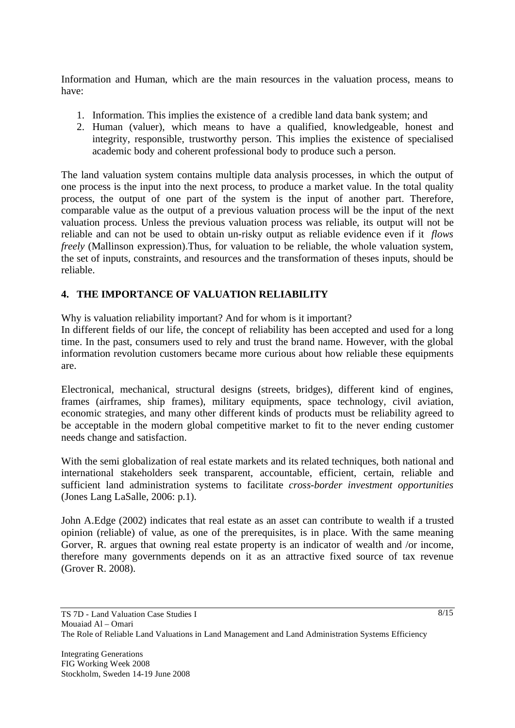Information and Human, which are the main resources in the valuation process, means to have:

- 1. Information. This implies the existence of a credible land data bank system; and
- 2. Human (valuer), which means to have a qualified, knowledgeable, honest and integrity, responsible, trustworthy person. This implies the existence of specialised academic body and coherent professional body to produce such a person.

The land valuation system contains multiple data analysis processes, in which the output of one process is the input into the next process, to produce a market value. In the total quality process, the output of one part of the system is the input of another part. Therefore, comparable value as the output of a previous valuation process will be the input of the next valuation process. Unless the previous valuation process was reliable, its output will not be reliable and can not be used to obtain un-risky output as reliable evidence even if it *flows freely* (Mallinson expression). Thus, for valuation to be reliable, the whole valuation system, the set of inputs, constraints, and resources and the transformation of theses inputs, should be reliable.

# **4. THE IMPORTANCE OF VALUATION RELIABILITY**

Why is valuation reliability important? And for whom is it important?

In different fields of our life, the concept of reliability has been accepted and used for a long time. In the past, consumers used to rely and trust the brand name. However, with the global information revolution customers became more curious about how reliable these equipments are.

Electronical, mechanical, structural designs (streets, bridges), different kind of engines, frames (airframes, ship frames), military equipments, space technology, civil aviation, economic strategies, and many other different kinds of products must be reliability agreed to be acceptable in the modern global competitive market to fit to the never ending customer needs change and satisfaction.

With the semi globalization of real estate markets and its related techniques, both national and international stakeholders seek transparent, accountable, efficient, certain, reliable and sufficient land administration systems to facilitate *cross-border investment opportunities* (Jones Lang LaSalle, 2006: p.1).

John A.Edge (2002) indicates that real estate as an asset can contribute to wealth if a trusted opinion (reliable) of value, as one of the prerequisites, is in place. With the same meaning Gorver, R. argues that owning real estate property is an indicator of wealth and /or income, therefore many governments depends on it as an attractive fixed source of tax revenue (Grover R. 2008).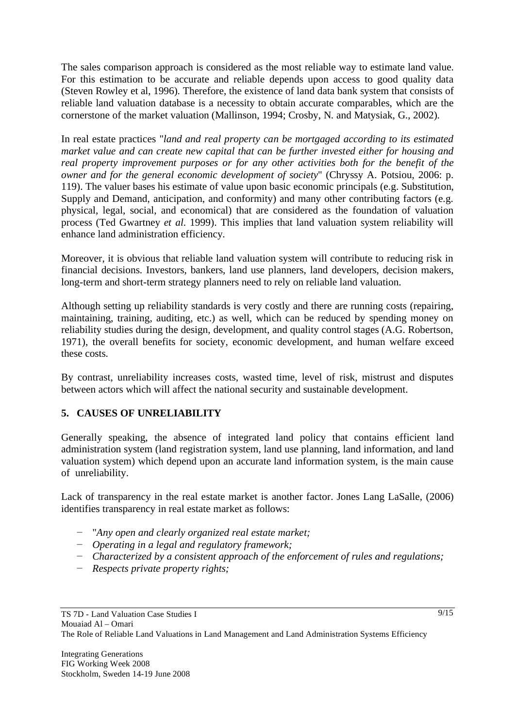The sales comparison approach is considered as the most reliable way to estimate land value. For this estimation to be accurate and reliable depends upon access to good quality data (Steven Rowley et al, 1996). Therefore, the existence of land data bank system that consists of reliable land valuation database is a necessity to obtain accurate comparables, which are the cornerstone of the market valuation (Mallinson, 1994; Crosby, N. and Matysiak, G., 2002).

In real estate practices "*land and real property can be mortgaged according to its estimated market value and can create new capital that can be further invested either for housing and real property improvement purposes or for any other activities both for the benefit of the owner and for the general economic development of society*" (Chryssy A. Potsiou, 2006: p. 119). The valuer bases his estimate of value upon basic economic principals (e.g. Substitution, Supply and Demand, anticipation, and conformity) and many other contributing factors (e.g. physical, legal, social, and economical) that are considered as the foundation of valuation process (Ted Gwartney *et al*. 1999). This implies that land valuation system reliability will enhance land administration efficiency.

Moreover, it is obvious that reliable land valuation system will contribute to reducing risk in financial decisions. Investors, bankers, land use planners, land developers, decision makers, long-term and short-term strategy planners need to rely on reliable land valuation.

Although setting up reliability standards is very costly and there are running costs (repairing, maintaining, training, auditing, etc.) as well, which can be reduced by spending money on reliability studies during the design, development, and quality control stages (A.G. Robertson, 1971), the overall benefits for society, economic development, and human welfare exceed these costs.

By contrast, unreliability increases costs, wasted time, level of risk, mistrust and disputes between actors which will affect the national security and sustainable development.

## **5. CAUSES OF UNRELIABILITY**

Generally speaking, the absence of integrated land policy that contains efficient land administration system (land registration system, land use planning, land information, and land valuation system) which depend upon an accurate land information system, is the main cause of unreliability.

Lack of transparency in the real estate market is another factor. Jones Lang LaSalle, (2006) identifies transparency in real estate market as follows:

- "*Any open and clearly organized real estate market;*
- *Operating in a legal and regulatory framework;*
- *Characterized by a consistent approach of the enforcement of rules and regulations;*
- *Respects private property rights;*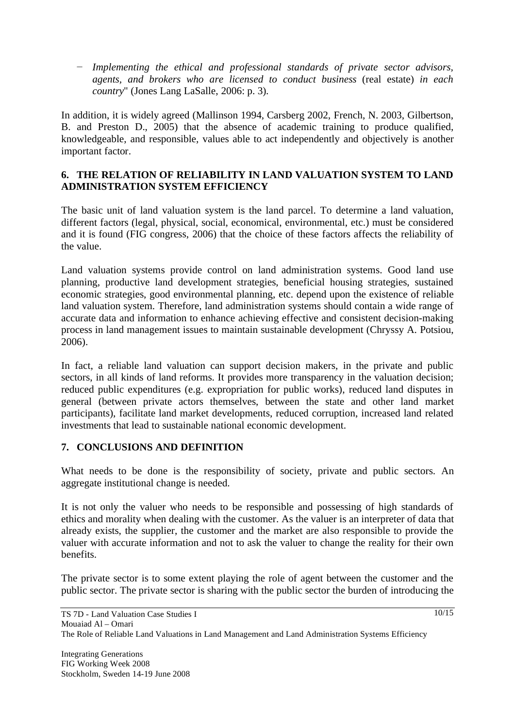*Implementing the ethical and professional standards of private sector advisors, agents, and brokers who are licensed to conduct business* (real estate) *in each country*" (Jones Lang LaSalle, 2006: p. 3).

In addition, it is widely agreed (Mallinson 1994, Carsberg 2002, French, N. 2003, Gilbertson, B. and Preston D., 2005) that the absence of academic training to produce qualified, knowledgeable, and responsible, values able to act independently and objectively is another important factor.

### **6. THE RELATION OF RELIABILITY IN LAND VALUATION SYSTEM TO LAND ADMINISTRATION SYSTEM EFFICIENCY**

The basic unit of land valuation system is the land parcel. To determine a land valuation, different factors (legal, physical, social, economical, environmental, etc.) must be considered and it is found (FIG congress, 2006) that the choice of these factors affects the reliability of the value.

Land valuation systems provide control on land administration systems. Good land use planning, productive land development strategies, beneficial housing strategies, sustained economic strategies, good environmental planning, etc. depend upon the existence of reliable land valuation system. Therefore, land administration systems should contain a wide range of accurate data and information to enhance achieving effective and consistent decision-making process in land management issues to maintain sustainable development (Chryssy A. Potsiou, 2006).

In fact, a reliable land valuation can support decision makers, in the private and public sectors, in all kinds of land reforms. It provides more transparency in the valuation decision; reduced public expenditures (e.g. expropriation for public works), reduced land disputes in general (between private actors themselves, between the state and other land market participants), facilitate land market developments, reduced corruption, increased land related investments that lead to sustainable national economic development.

#### **7. CONCLUSIONS AND DEFINITION**

What needs to be done is the responsibility of society, private and public sectors. An aggregate institutional change is needed.

It is not only the valuer who needs to be responsible and possessing of high standards of ethics and morality when dealing with the customer. As the valuer is an interpreter of data that already exists, the supplier, the customer and the market are also responsible to provide the valuer with accurate information and not to ask the valuer to change the reality for their own benefits.

The private sector is to some extent playing the role of agent between the customer and the public sector. The private sector is sharing with the public sector the burden of introducing the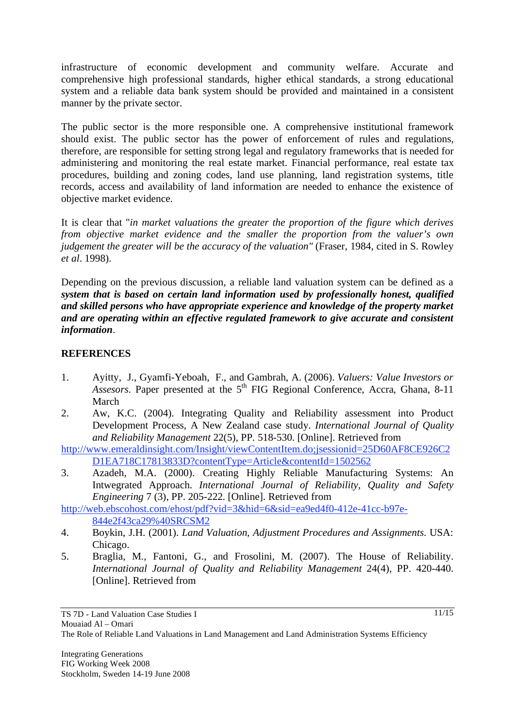infrastructure of economic development and community welfare. Accurate and comprehensive high professional standards, higher ethical standards, a strong educational system and a reliable data bank system should be provided and maintained in a consistent manner by the private sector.

The public sector is the more responsible one. A comprehensive institutional framework should exist. The public sector has the power of enforcement of rules and regulations, therefore, are responsible for setting strong legal and regulatory frameworks that is needed for administering and monitoring the real estate market. Financial performance, real estate tax procedures, building and zoning codes, land use planning, land registration systems, title records, access and availability of land information are needed to enhance the existence of objective market evidence.

It is clear that "*in market valuations the greater the proportion of the figure which derives from objective market evidence and the smaller the proportion from the valuer's own judgement the greater will be the accuracy of the valuation"* (Fraser, 1984, cited in S. Rowley *et al*. 1998).

Depending on the previous discussion, a reliable land valuation system can be defined as a *system that is based on certain land information used by professionally honest, qualified and skilled persons who have appropriate experience and knowledge of the property market and are operating within an effective regulated framework to give accurate and consistent information*.

### **REFERENCES**

- 1. Ayitty, J., Gyamfi-Yeboah, F., and Gambrah, A. (2006). *Valuers: Value Investors or Assesors*. Paper presented at the 5<sup>th</sup> FIG Regional Conference, Accra, Ghana, 8-11 March
- 2. Aw, K.C. (2004). Integrating Quality and Reliability assessment into Product Development Process, A New Zealand case study. *International Journal of Quality and Reliability Management* 22(5), PP. 518-530. [Online]. Retrieved from

http://www.emeraldinsight.com/Insight/viewContentItem.do;jsessionid=25D60AF8CE926C2 D1EA718C17813833D?contentType=Article&contentId=1502562

3. Azadeh, M.A. (2000). Creating Highly Reliable Manufacturing Systems: An Intwegrated Approach. *International Journal of Reliability, Quality and Safety Engineering* 7 (3), PP. 205-222. [Online]. Retrieved from

http://web.ebscohost.com/ehost/pdf?vid=3&hid=6&sid=ea9ed4f0-412e-41cc-b97e-844e2f43ca29%40SRCSM2

- 4. Boykin, J.H. (2001). *Land Valuation, Adjustment Procedures and Assignments*. USA: Chicago.
- 5. Braglia, M., Fantoni, G., and Frosolini, M. (2007). The House of Reliability. *International Journal of Quality and Reliability Management* 24(4), PP. 420-440. [Online]. Retrieved from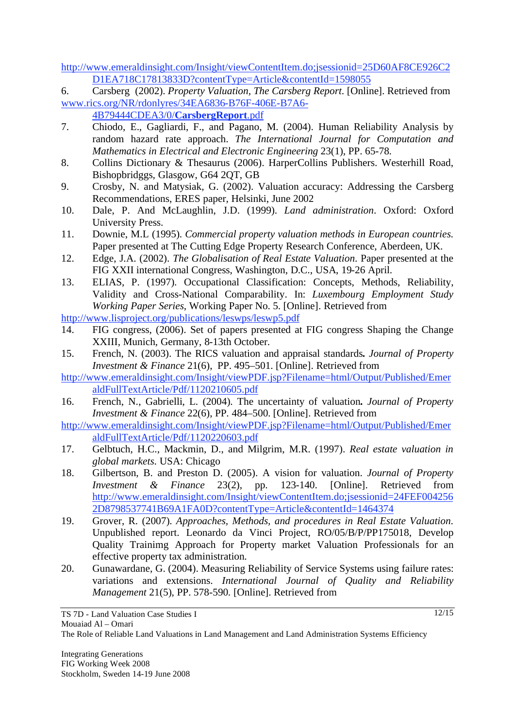http://www.emeraldinsight.com/Insight/viewContentItem.do;jsessionid=25D60AF8CE926C2 D1EA718C17813833D?contentType=Article&contentId=1598055

6. Carsberg (2002). *Property Valuation, The Carsberg Report*. [Online]. Retrieved from www.rics.org/NR/rdonlyres/34EA6836-B76F-406E-B7A6-

4B79444CDEA3/0/**CarsbergReport**.pdf

- 7. Chiodo, E., Gagliardi, F., and Pagano, M. (2004). Human Reliability Analysis by random hazard rate approach. *The International Journal for Computation and Mathematics in Electrical and Electronic Engineering* 23(1), PP. 65-78.
- 8. Collins Dictionary & Thesaurus (2006). HarperCollins Publishers. Westerhill Road, Bishopbridggs, Glasgow, G64 2QT, GB
- 9. Crosby, N. and Matysiak, G. (2002). Valuation accuracy: Addressing the Carsberg Recommendations, ERES paper, Helsinki, June 2002
- 10. Dale, P. And McLaughlin, J.D. (1999). *Land administration*. Oxford: Oxford University Press.
- 11. Downie, M.L (1995). *Commercial property valuation methods in European countries*. Paper presented at The Cutting Edge Property Research Conference, Aberdeen, UK.
- 12. Edge, J.A. (2002). *The Globalisation of Real Estate Valuation*. Paper presented at the FIG XXII international Congress, Washington, D.C., USA, 19-26 April.
- 13. ELIAS, P. (1997). Occupational Classification: Concepts, Methods, Reliability, Validity and Cross-National Comparability. In: *Luxembourg Employment Study Working Paper Series*, Working Paper No. 5. [Online]. Retrieved from

http://www.lisproject.org/publications/leswps/leswp5.pdf

- 14. FIG congress, (2006). Set of papers presented at FIG congress Shaping the Change XXIII, Munich, Germany, 8-13th October.
- 15. French, N. (2003). The RICS valuation and appraisal standards**.** *Journal of Property Investment & Finance* 21(6), PP. 495–501. [Online]. Retrieved from

http://www.emeraldinsight.com/Insight/viewPDF.jsp?Filename=html/Output/Published/Emer aldFullTextArticle/Pdf/1120210605.pdf

16. French, N., Gabrielli, L. (2004). The uncertainty of valuation**.** *Journal of Property Investment & Finance* 22(6), PP. 484–500. [Online]. Retrieved from

http://www.emeraldinsight.com/Insight/viewPDF.jsp?Filename=html/Output/Published/Emer aldFullTextArticle/Pdf/1120220603.pdf

- 17. Gelbtuch, H.C., Mackmin, D., and Milgrim, M.R. (1997). *Real estate valuation in global markets*. USA: Chicago
- 18. Gilbertson, B. and Preston D. (2005). A vision for valuation. *Journal of Property Investment & Finance* 23(2), pp. 123-140. [Online]. Retrieved from http://www.emeraldinsight.com/Insight/viewContentItem.do;jsessionid=24FEF004256 2D8798537741B69A1FA0D?contentType=Article&contentId=1464374
- 19. Grover, R. (2007). *Approaches, Methods, and procedures in Real Estate Valuation*. Unpublished report. Leonardo da Vinci Project, RO/05/B/P/PP175018, Develop Quality Trainimg Approach for Property market Valuation Professionals for an effective property tax administration.
- 20. Gunawardane, G. (2004). Measuring Reliability of Service Systems using failure rates: variations and extensions. *International Journal of Quality and Reliability Management* 21(5), PP. 578-590. [Online]. Retrieved from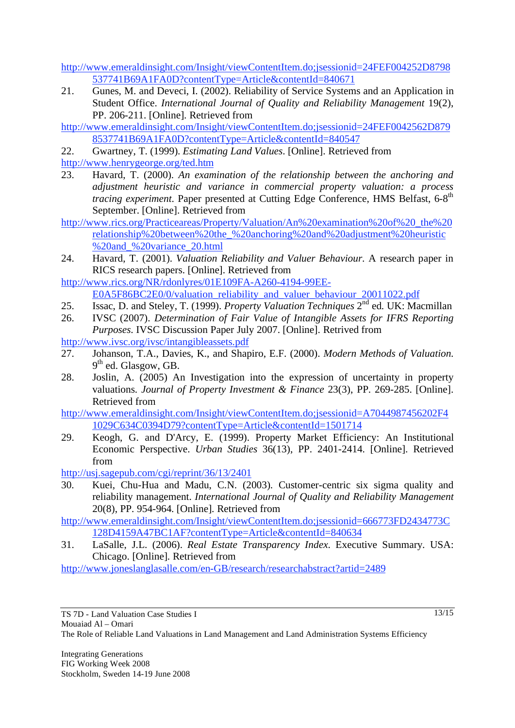http://www.emeraldinsight.com/Insight/viewContentItem.do;jsessionid=24FEF004252D8798 537741B69A1FA0D?contentType=Article&contentId=840671

21. Gunes, M. and Deveci, I. (2002). Reliability of Service Systems and an Application in Student Office. *International Journal of Quality and Reliability Management* 19(2), PP. 206-211. [Online]. Retrieved from

http://www.emeraldinsight.com/Insight/viewContentItem.do;jsessionid=24FEF0042562D879 8537741B69A1FA0D?contentType=Article&contentId=840547

22. Gwartney, T. (1999). *Estimating Land Values*. [Online]. Retrieved from

http://www.henrygeorge.org/ted.htm

- 23. Havard, T. (2000). *An examination of the relationship between the anchoring and adjustment heuristic and variance in commercial property valuation: a process tracing experiment*. Paper presented at Cutting Edge Conference, HMS Belfast, 6-8<sup>th</sup> September. [Online]. Retrieved from
- http://www.rics.org/Practiceareas/Property/Valuation/An%20examination%20of%20\_the%20 relationship%20between%20the\_%20anchoring%20and%20adjustment%20heuristic %20and\_%20variance\_20.html
- 24. Havard, T. (2001). *Valuation Reliability and Valuer Behaviour*. A research paper in RICS research papers. [Online]. Retrieved from
- http://www.rics.org/NR/rdonlyres/01E109FA-A260-4194-99EE-E0A5F86BC2E0/0/valuation\_reliability\_and\_valuer\_behaviour\_20011022.pdf
- 25. Issac, D. and Steley, T. (1999). *Property Valuation Techniques* 2nd ed. UK: Macmillan
- 26. IVSC (2007). *Determination of Fair Value of Intangible Assets for IFRS Reporting Purposes*. IVSC Discussion Paper July 2007. [Online]. Retrived from

http://www.ivsc.org/ivsc/intangibleassets.pdf

- 27. Johanson, T.A., Davies, K., and Shapiro, E.F. (2000). *Modern Methods of Valuation*.  $9<sup>th</sup>$  ed. Glasgow, GB.
- 28. Joslin, A. (2005) An Investigation into the expression of uncertainty in property valuations. *Journal of Property Investment & Finance* 23(3), PP. 269-285. [Online]. Retrieved from

http://www.emeraldinsight.com/Insight/viewContentItem.do;jsessionid=A7044987456202F4 1029C634C0394D79?contentType=Article&contentId=1501714

29. Keogh, G. and D'Arcy, E. (1999). Property Market Efficiency: An Institutional Economic Perspective. *Urban Studies* 36(13), PP. 2401-2414. [Online]. Retrieved from

http://usj.sagepub.com/cgi/reprint/36/13/2401

30. Kuei, Chu-Hua and Madu, C.N. (2003). Customer-centric six sigma quality and reliability management. *International Journal of Quality and Reliability Management* 20(8), PP. 954-964. [Online]. Retrieved from

http://www.emeraldinsight.com/Insight/viewContentItem.do;jsessionid=666773FD2434773C 128D4159A47BC1AF?contentType=Article&contentId=840634

31. LaSalle, J.L. (2006). *Real Estate Transparency Index*. Executive Summary. USA: Chicago. [Online]. Retrieved from

http://www.joneslanglasalle.com/en-GB/research/researchabstract?artid=2489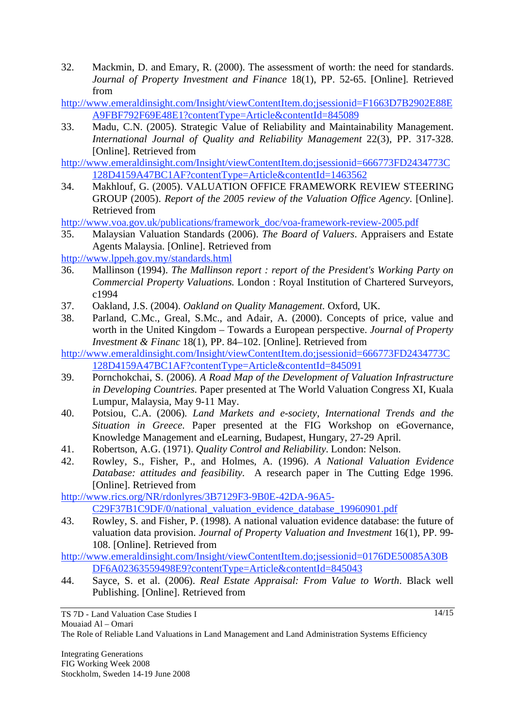- 32. Mackmin, D. and Emary, R. (2000). The assessment of worth: the need for standards. *Journal of Property Investment and Finance* 18(1), PP. 52-65. [Online]. Retrieved from
- http://www.emeraldinsight.com/Insight/viewContentItem.do;jsessionid=F1663D7B2902E88E A9FBF792F69E48E1?contentType=Article&contentId=845089
- 33. Madu, C.N. (2005). Strategic Value of Reliability and Maintainability Management. *International Journal of Quality and Reliability Management* 22(3), PP. 317-328. [Online]. Retrieved from
- http://www.emeraldinsight.com/Insight/viewContentItem.do;jsessionid=666773FD2434773C 128D4159A47BC1AF?contentType=Article&contentId=1463562
- 34. Makhlouf, G. (2005). VALUATION OFFICE FRAMEWORK REVIEW STEERING GROUP (2005). *Report of the 2005 review of the Valuation Office Agency*. [Online]. Retrieved from

http://www.voa.gov.uk/publications/framework\_doc/voa-framework-review-2005.pdf

35. Malaysian Valuation Standards (2006). *The Board of Valuers*. Appraisers and Estate Agents Malaysia. [Online]. Retrieved from

http://www.lppeh.gov.my/standards.html

- 36. Mallinson (1994). *The Mallinson report : report of the President's Working Party on Commercial Property Valuations*. London : Royal Institution of Chartered Surveyors, c1994
- 37. Oakland, J.S. (2004). *Oakland on Quality Management*. Oxford, UK.
- 38. Parland, C.Mc., Greal, S.Mc., and Adair, A. (2000). Concepts of price, value and worth in the United Kingdom – Towards a European perspective. *Journal of Property Investment & Financ* 18(1), PP. 84–102. [Online]. Retrieved from
- http://www.emeraldinsight.com/Insight/viewContentItem.do;jsessionid=666773FD2434773C 128D4159A47BC1AF?contentType=Article&contentId=845091
- 39. Pornchokchai, S. (2006). *A Road Map of the Development of Valuation Infrastructure in Developing Countries*. Paper presented at The World Valuation Congress XI, Kuala Lumpur, Malaysia, May 9-11 May.
- 40. Potsiou, C.A. (2006). *Land Markets and e-society, International Trends and the Situation in Greece*. Paper presented at the FIG Workshop on eGovernance, Knowledge Management and eLearning, Budapest, Hungary, 27-29 April.
- 41. Robertson, A.G. (1971). *Quality Control and Reliability*. London: Nelson.
- 42. Rowley, S., Fisher, P., and Holmes, A. (1996). *A National Valuation Evidence Database: attitudes and feasibility*. A research paper in The Cutting Edge 1996. [Online]. Retrieved from

http://www.rics.org/NR/rdonlyres/3B7129F3-9B0E-42DA-96A5- C29F37B1C9DF/0/national\_valuation\_evidence\_database\_19960901.pdf

43. Rowley, S. and Fisher, P. (1998). A national valuation evidence database: the future of valuation data provision. *Journal of Property Valuation and Investment* 16(1), PP. 99- 108. [Online]. Retrieved from

http://www.emeraldinsight.com/Insight/viewContentItem.do;jsessionid=0176DE50085A30B DF6A02363559498E9?contentType=Article&contentId=845043

44. Sayce, S. et al. (2006). *Real Estate Appraisal: From Value to Worth*. Black well Publishing. [Online]. Retrieved from